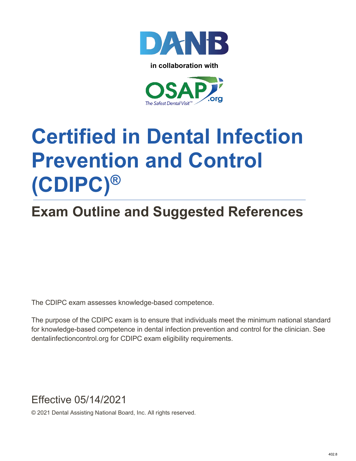



## **Certified in Dental Infection Prevention and Control (CDIPC)®**

## **Exam Outline and Suggested References**

The CDIPC exam assesses knowledge-based competence.

The purpose of the CDIPC exam is to ensure that individuals meet the minimum national standard for knowledge-based competence in dental infection prevention and control for the clinician. See dentalinfectioncontrol.org for CDIPC exam eligibility requirements.

Effective 05/14/2021

© 2021 Dental Assisting National Board, Inc. All rights reserved.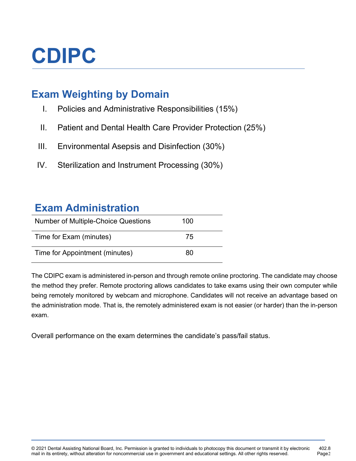# **CDIPC**

## **Exam Weighting by Domain**

- I. Policies and Administrative Responsibilities (15%)
- II. Patient and Dental Health Care Provider Protection (25%)
- III. Environmental Asepsis and Disinfection (30%)
- IV. Sterilization and Instrument Processing (30%)

### **Exam Administration**

| <b>Number of Multiple-Choice Questions</b> | 100 |  |
|--------------------------------------------|-----|--|
| Time for Exam (minutes)                    | 75  |  |
| Time for Appointment (minutes)             | 80  |  |

The CDIPC exam is administered in-person and through remote online proctoring. The candidate may choose the method they prefer. Remote proctoring allows candidates to take exams using their own computer while being remotely monitored by webcam and microphone. Candidates will not receive an advantage based on the administration mode. That is, the remotely administered exam is not easier (or harder) than the in-person exam.

Overall performance on the exam determines the candidate's pass/fail status.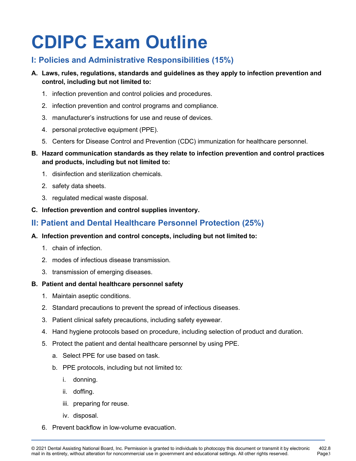## **CDIPC Exam Outline**

#### **I: Policies and Administrative Responsibilities (15%)**

#### **A. Laws, rules, regulations, standards and guidelines as they apply to infection prevention and control, including but not limited to:**

- 1. infection prevention and control policies and procedures.
- 2. infection prevention and control programs and compliance.
- 3. manufacturer's instructions for use and reuse of devices.
- 4. personal protective equipment (PPE).
- 5. Centers for Disease Control and Prevention (CDC) immunization for healthcare personnel.
- **B. Hazard communication standards as they relate to infection prevention and control practices and products, including but not limited to:**
	- 1. disinfection and sterilization chemicals.
	- 2. safety data sheets.
	- 3. regulated medical waste disposal.
- **C. Infection prevention and control supplies inventory.**

#### **II: Patient and Dental Healthcare Personnel Protection (25%)**

- **A. Infection prevention and control concepts, including but not limited to:**
	- 1. chain of infection.
	- 2. modes of infectious disease transmission.
	- 3. transmission of emerging diseases.

#### **B. Patient and dental healthcare personnel safety**

- 1. Maintain aseptic conditions.
- 2. Standard precautions to prevent the spread of infectious diseases.
- 3. Patient clinical safety precautions, including safety eyewear.
- 4. Hand hygiene protocols based on procedure, including selection of product and duration.
- 5. Protect the patient and dental healthcare personnel by using PPE.
	- a. Select PPE for use based on task.
	- b. PPE protocols, including but not limited to:
		- i. donning.
		- ii. doffing.
		- iii. preparing for reuse.
		- iv. disposal.
- 6. Prevent backflow in low-volume evacuation.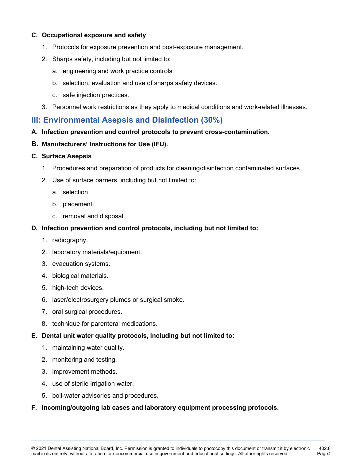#### **C. Occupational exposure and safety**

- 1. Protocols for exposure prevention and post-exposure management.
- 2. Sharps safety, including but not limited to:
	- a. engineering and work practice controls.
	- b. selection, evaluation and use of sharps safety devices.
	- c. safe injection practices.
- 3. Personnel work restrictions as they apply to medical conditions and work-related illnesses.

#### **III: Environmental Asepsis and Disinfection (30%)**

- **A. Infection prevention and control protocols to prevent cross-contamination.**
- **B. Manufacturers' Instructions for Use (IFU).**

#### **C. Surface Asepsis**

- 1. Procedures and preparation of products for cleaning/disinfection contaminated surfaces.
- 2. Use of surface barriers, including but not limited to:
	- a. selection.
	- b. placement.
	- c. removal and disposal.

#### **D. Infection prevention and control protocols, including but not limited to:**

- 1. radiography.
- 2. laboratory materials/equipment.
- 3. evacuation systems.
- 4. biological materials.
- 5. high-tech devices.
- 6. laser/electrosurgery plumes or surgical smoke.
- 7. oral surgical procedures.
- 8. technique for parenteral medications.
- **E. Dental unit water quality protocols, including but not limited to:**
	- 1. maintaining water quality.
	- 2. monitoring and testing.
	- 3. improvement methods.
	- 4. use of sterile irrigation water.
	- 5. boil-water advisories and procedures.

#### **F. Incoming/outgoing lab cases and laboratory equipment processing protocols.**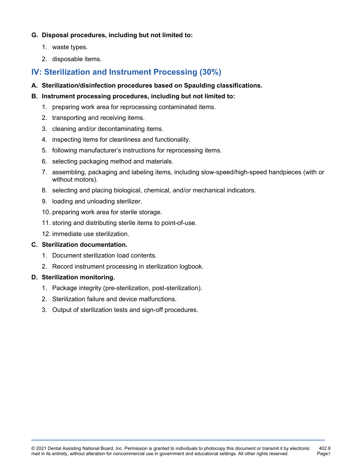#### **G. Disposal procedures, including but not limited to:**

- 1. waste types.
- 2. disposable items.

#### **IV: Sterilization and Instrument Processing (30%)**

**A. Sterilization/disinfection procedures based on Spaulding classifications.**

#### **B. Instrument processing procedures, including but not limited to:**

- 1. preparing work area for reprocessing contaminated items.
- 2. transporting and receiving items.
- 3. cleaning and/or decontaminating items.
- 4. inspecting items for cleanliness and functionality.
- 5. following manufacturer's instructions for reprocessing items.
- 6. selecting packaging method and materials.
- 7. assembling, packaging and labeling items, including slow-speed/high-speed handpieces (with or without motors).
- 8. selecting and placing biological, chemical, and/or mechanical indicators.
- 9. loading and unloading sterilizer.
- 10. preparing work area for sterile storage.
- 11. storing and distributing sterile items to point-of-use.
- 12. immediate use sterilization.

#### **C. Sterilization documentation.**

- 1. Document sterilization load contents.
- 2. Record instrument processing in sterilization logbook.

#### **D. Sterilization monitoring.**

- 1. Package integrity (pre-sterilization, post-sterilization).
- 2. Sterilization failure and device malfunctions.
- 3. Output of sterilization tests and sign-off procedures.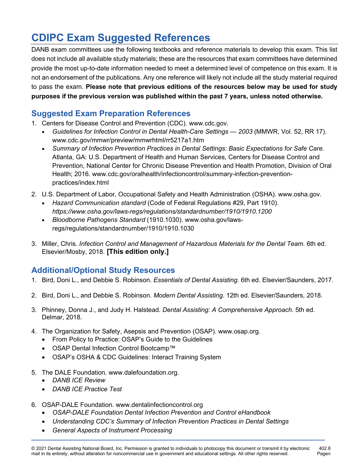## **CDIPC Exam Suggested References**

DANB exam committees use the following textbooks and reference materials to develop this exam. This list does not include all available study materials; these are the resources that exam committees have determined provide the most up-to-date information needed to meet a determined level of competence on this exam. It is not an endorsement of the publications. Any one reference will likely not include all the study material required to pass the exam. **Please note that previous editions of the resources below may be used for study purposes if the previous version was published within the past 7 years, unless noted otherwise.**

#### **Suggested Exam Preparation References**

- 1. Centers for Disease Control and Prevention (CDC). www.cdc.gov.
	- *Guidelines for Infection Control in Dental Health-Care Settings 2003* (MMWR, Vol. 52, RR 17). www.cdc.gov/mmwr/preview/mmwrhtml/rr5217a1.htm
	- *Summary of Infection Prevention Practices in Dental Settings: Basic Expectations for Safe Care.*  Atlanta, GA: U.S. Department of Health and Human Services, Centers for Disease Control and Prevention, National Center for Chronic Disease Prevention and Health Promotion, Division of Oral Health; 2016. www.cdc.gov/oralhealth/infectioncontrol/summary-infection-preventionpractices/index.html
- 2. U.S. Department of Labor, Occupational Safety and Health Administration (OSHA). www.osha.gov.
	- *Hazard Communication standard* (Code of Federal Regulations #29, Part 1910). *<https://www.osha.gov/laws-regs/regulations/standardnumber/1910/1910.1200>*
	- *Bloodborne Pathogens Standard* (1910.1030). www.osha.gov/lawsregs/regulations/standardnumber/1910/1910.1030
- 3. Miller, Chris. *Infection Control and Management of Hazardous Materials for the Dental Team*. 6th ed. Elsevier/Mosby, 2018. **[This edition only.]**

#### **Additional/Optional Study Resources**

- 1. Bird, Doni L., and Debbie S. Robinson. *Essentials of Dental Assisting*. 6th ed. Elsevier/Saunders, 2017.
- 2. Bird, Doni L., and Debbie S. Robinson. *Modern Dental Assisting*. 12th ed. Elsevier/Saunders, 2018.
- 3. Phinney, Donna J., and Judy H. Halstead. *Dental Assisting: A Comprehensive Approach*. 5th ed. Delmar, 2018.
- 4. The Organization for Safety, Asepsis and Prevention (OSAP). www.osap.org.
	- From Policy to Practice: OSAP's Guide to the Guidelines
	- OSAP Dental Infection Control Bootcamp™
	- OSAP's OSHA & CDC Guidelines: Interact Training System
- 5. The DALE Foundation*.* www.dalefoundation.org*.*
	- *DANB ICE Review*
	- *DANB ICE Practice Test*
- 6. OSAP-DALE Foundation. www.dentalinfectioncontrol.org
	- *OSAP-DALE Foundation Dental Infection Prevention and Control eHandbook*
	- *Understanding CDC's Summary of Infection Prevention Practices in Dental Settings*
	- *General Aspects of Instrument Processing*